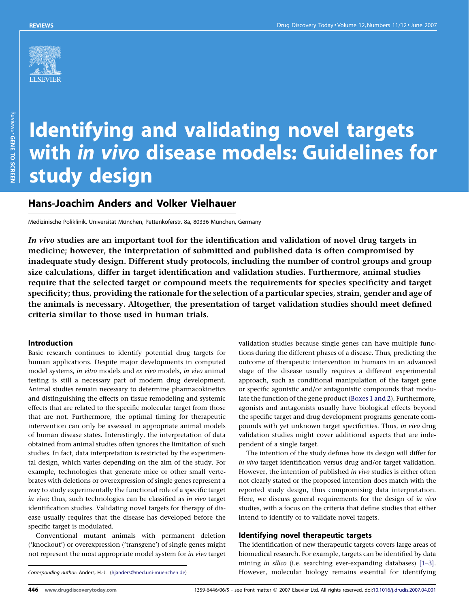

# Identifying and validating novel targets with in vivo disease models: Guidelines for study design

# Hans-Joachim Anders and Volker Vielhauer

Medizinische Poliklinik, Universität München, Pettenkoferstr. 8a, 80336 München, Germany

In vivo studies are an important tool for the identification and validation of novel drug targets in medicine; however, the interpretation of submitted and published data is often compromised by inadequate study design. Different study protocols, including the number of control groups and group size calculations, differ in target identification and validation studies. Furthermore, animal studies require that the selected target or compound meets the requirements for species specificity and target specificity; thus, providing the rationale for the selection of a particular species, strain, gender and age of the animals is necessary. Altogether, the presentation of target validation studies should meet defined criteria similar to those used in human trials.

# Introduction

Basic research continues to identify potential drug targets for human applications. Despite major developments in computed model systems, in vitro models and ex vivo models, in vivo animal testing is still a necessary part of modern drug development. Animal studies remain necessary to determine pharmacokinetics and distinguishing the effects on tissue remodeling and systemic effects that are related to the specific molecular target from those that are not. Furthermore, the optimal timing for therapeutic intervention can only be assessed in appropriate animal models of human disease states. Interestingly, the interpretation of data obtained from animal studies often ignores the limitation of such studies. In fact, data interpretation is restricted by the experimental design, which varies depending on the aim of the study. For example, technologies that generate mice or other small vertebrates with deletions or overexpression of single genes represent a way to study experimentally the functional role of a specific target in vivo; thus, such technologies can be classified as in vivo target identification studies. Validating novel targets for therapy of disease usually requires that the disease has developed before the specific target is modulated.

Conventional mutant animals with permanent deletion ('knockout') or overexpression ('transgene') of single genes might not represent the most appropriate model system for in vivo target validation studies because single genes can have multiple functions during the different phases of a disease. Thus, predicting the outcome of therapeutic intervention in humans in an advanced stage of the disease usually requires a different experimental approach, such as conditional manipulation of the target gene or specific agonistic and/or antagonistic compounds that modulate the function of the gene product [\(Boxes 1 and 2\)](#page-1-0). Furthermore, agonists and antagonists usually have biological effects beyond the specific target and drug development programs generate compounds with yet unknown target specificities. Thus, in vivo drug validation studies might cover additional aspects that are independent of a single target.

The intention of the study defines how its design will differ for in vivo target identification versus drug and/or target validation. However, the intention of published in vivo studies is either often not clearly stated or the proposed intention does match with the reported study design, thus compromising data interpretation. Here, we discuss general requirements for the design of in vivo studies, with a focus on the criteria that define studies that either intend to identify or to validate novel targets.

# Identifying novel therapeutic targets

The identification of new therapeutic targets covers large areas of biomedical research. For example, targets can be identified by data mining in silico (i.e. searching ever-expanding databases) [\[1–3\]](#page-5-0). However, molecular biology remains essential for identifying

Corresponding author: Anders, H.-J. ([hjanders@med.uni-muenchen.de](mailto:hjanders@med.uni-muenchen.de))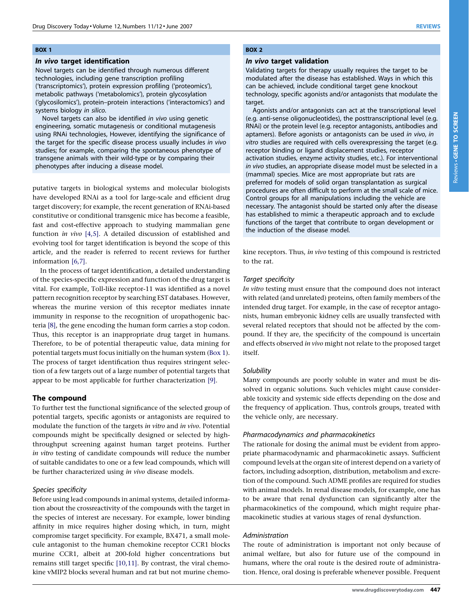#### <span id="page-1-0"></span>BOX 1

#### In vivo target identification

Novel targets can be identified through numerous different technologies, including gene transcription profiling ('transcriptomics'), protein expression profiling ('proteomics'), metabolic pathways ('metabolomics'), protein glycosylation ('glycosilomics'), protein–protein interactions ('interactomics') and systems biology in silico.

Novel targets can also be identified in vivo using genetic engineering, somatic mutagenesis or conditional mutagenesis using RNAi technologies, However, identifying the significance of the target for the specific disease process usually includes in vivo studies; for example, comparing the spontaneous phenotype of transgene animals with their wild-type or by comparing their phenotypes after inducing a disease model.

putative targets in biological systems and molecular biologists have developed RNAi as a tool for large-scale and efficient drug target discovery; for example, the recent generation of RNAi-based constitutive or conditional transgenic mice has become a feasible, fast and cost-effective approach to studying mammalian gene function in vivo [\[4,5\].](#page-5-0) A detailed discussion of established and evolving tool for target identification is beyond the scope of this article, and the reader is referred to recent reviews for further information [\[6,7\]](#page-5-0).

In the process of target identification, a detailed understanding of the species-specific expression and function of the drug target is vital. For example, Toll-like receptor-11 was identified as a novel pattern recognition receptor by searching EST databases. However, whereas the murine version of this receptor mediates innate immunity in response to the recognition of uropathogenic bacteria [\[8\],](#page-5-0) the gene encoding the human form carries a stop codon. Thus, this receptor is an inappropriate drug target in humans. Therefore, to be of potential therapeutic value, data mining for potential targets must focus initially on the human system (Box 1). The process of target identification thus requires stringent selection of a few targets out of a large number of potential targets that appear to be most applicable for further characterization [\[9\].](#page-5-0)

# The compound

To further test the functional significance of the selected group of potential targets, specific agonists or antagonists are required to modulate the function of the targets in vitro and in vivo. Potential compounds might be specifically designed or selected by highthroughput screening against human target proteins. Further in vitro testing of candidate compounds will reduce the number of suitable candidates to one or a few lead compounds, which will be further characterized using in vivo disease models.

# Species specificity

Before using lead compounds in animal systems, detailed information about the crossreactivity of the compounds with the target in the species of interest are necessary. For example, lower binding affinity in mice requires higher dosing which, in turn, might compromise target specificity. For example, BX471, a small molecule antagonist to the human chemokine receptor CCR1 blocks murine CCR1, albeit at 200-fold higher concentrations but remains still target specific [\[10,11\]](#page-5-0). By contrast, the viral chemokine vMIP2 blocks several human and rat but not murine chemo-

# BOX 2

# In vivo target validation

Validating targets for therapy usually requires the target to be modulated after the disease has established. Ways in which this can be achieved, include conditional target gene knockout technology, specific agonists and/or antagonists that modulate the target.

Agonists and/or antagonists can act at the transcriptional level (e.g. anti-sense oligonucleotides), the posttranscriptional level (e.g. RNAi) or the protein level (e.g. receptor antagonists, antibodies and aptamers). Before agonists or antagonists can be used in vivo, in vitro studies are required with cells overexpressing the target (e.g. receptor binding or ligand displacement studies, receptor activation studies, enzyme activity studies, etc.). For interventional in vivo studies, an appropriate disease model must be selected in a (mammal) species. Mice are most appropriate but rats are preferred for models of solid organ transplantation as surgical procedures are often difficult to perform at the small scale of mice. Control groups for all manipulations including the vehicle are necessary. The antagonist should be started only after the disease has established to mimic a therapeutic approach and to exclude functions of the target that contribute to organ development or the induction of the disease model.

kine receptors. Thus, in vivo testing of this compound is restricted to the rat.

# Target specificity

In vitro testing must ensure that the compound does not interact with related (and unrelated) proteins, often family members of the intended drug target. For example, in the case of receptor antagonists, human embryonic kidney cells are usually transfected with several related receptors that should not be affected by the compound. If they are, the specificity of the compound is uncertain and effects observed in vivo might not relate to the proposed target itself.

#### **Solubility**

Many compounds are poorly soluble in water and must be dissolved in organic solutions. Such vehicles might cause considerable toxicity and systemic side effects depending on the dose and the frequency of application. Thus, controls groups, treated with the vehicle only, are necessary.

## Pharmacodynamics and pharmacokinetics

The rationale for dosing the animal must be evident from appropriate pharmacodynamic and pharmacokinetic assays. Sufficient compound levels at the organ site of interest depend on a variety of factors, including adsorption, distribution, metabolism and excretion of the compound. Such ADME profiles are required for studies with animal models. In renal disease models, for example, one has to be aware that renal dysfunction can significantly alter the pharmacokinetics of the compound, which might require pharmacokinetic studies at various stages of renal dysfunction.

#### Administration

The route of administration is important not only because of animal welfare, but also for future use of the compound in humans, where the oral route is the desired route of administration. Hence, oral dosing is preferable whenever possible. Frequent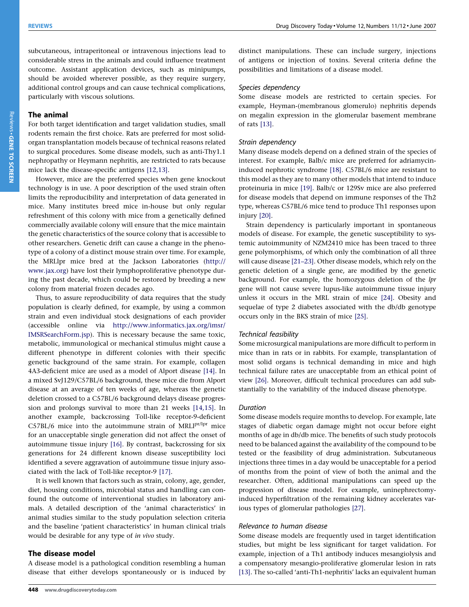subcutaneous, intraperitoneal or intravenous injections lead to considerable stress in the animals and could influence treatment outcome. Assistant application devices, such as minipumps, should be avoided wherever possible, as they require surgery, additional control groups and can cause technical complications, particularly with viscous solutions.

# The animal

For both target identification and target validation studies, small rodents remain the first choice. Rats are preferred for most solidorgan transplantation models because of technical reasons related to surgical procedures. Some disease models, such as anti-Thy1.1 nephropathy or Heymann nephritis, are restricted to rats because mice lack the disease-specific antigens [\[12,13\]](#page-5-0).

However, mice are the preferred species when gene knockout technology is in use. A poor description of the used strain often limits the reproducibility and interpretation of data generated in mice. Many institutes breed mice in-house but only regular refreshment of this colony with mice from a genetically defined commercially available colony will ensure that the mice maintain the genetic characteristics of the source colony that is accessible to other researchers. Genetic drift can cause a change in the phenotype of a colony of a distinct mouse strain over time. For example, the MRLlpr mice bred at the Jackson Laboratories ([http://](http://www.jax.org/) [www.jax.org\)](http://www.jax.org/) have lost their lymphoproliferative phenotype during the past decade, which could be restored by breeding a new colony from material frozen decades ago.

Thus, to assure reproducibility of data requires that the study population is clearly defined, for example, by using a common strain and even individual stock designations of each provider (accessible online via [http://www.informatics.jax.org/imsr/](http://www.informatics.jax.org/imsr/IMSRSearchForm.jsp) [IMSRSearchForm.jsp\)](http://www.informatics.jax.org/imsr/IMSRSearchForm.jsp). This is necessary because the same toxic, metabolic, immunological or mechanical stimulus might cause a different phenotype in different colonies with their specific genetic background of the same strain. For example, collagen 4A3-deficient mice are used as a model of Alport disease [\[14\].](#page-5-0) In a mixed SvJ129/C57BL/6 background, these mice die from Alport disease at an average of ten weeks of age, whereas the genetic deletion crossed to a C57BL/6 background delays disease progression and prolongs survival to more than 21 weeks [\[14,15\].](#page-5-0) In another example, backcrossing Toll-like receptor-9-deficient  $C57BL/6$  mice into the autoimmune strain of MRLI $pr/1pr$  mice for an unacceptable single generation did not affect the onset of autoimmune tissue injury [\[16\]](#page-5-0). By contrast, backcrossing for six generations for 24 different known disease susceptibility loci identified a severe aggravation of autoimmune tissue injury associated with the lack of Toll-like receptor-9 [\[17\]](#page-5-0).

It is well known that factors such as strain, colony, age, gender, diet, housing conditions, microbial status and handling can confound the outcome of interventional studies in laboratory animals. A detailed description of the 'animal characteristics' in animal studies similar to the study population selection criteria and the baseline 'patient characteristics' in human clinical trials would be desirable for any type of in vivo study.

# The disease model

A disease model is a pathological condition resembling a human disease that either develops spontaneously or is induced by distinct manipulations. These can include surgery, injections of antigens or injection of toxins. Several criteria define the possibilities and limitations of a disease model.

# Species dependency

Some disease models are restricted to certain species. For example, Heyman-(membranous glomerulo) nephritis depends on megalin expression in the glomerular basement membrane of rats [\[13\]](#page-5-0).

# Strain dependency

Many disease models depend on a defined strain of the species of interest. For example, Balb/c mice are preferred for adriamycininduced nephrotic syndrome [\[18\]](#page-5-0). C57BL/6 mice are resistant to this model as they are to many other models that intend to induce proteinuria in mice [\[19\].](#page-5-0) Balb/c or 129Sv mice are also preferred for disease models that depend on immune responses of the Th2 type, whereas C57BL/6 mice tend to produce Th1 responses upon injury [\[20\].](#page-5-0)

Strain dependency is particularly important in spontaneous models of disease. For example, the genetic susceptibility to systemic autoimmunity of NZM2410 mice has been traced to three gene polymorphisms, of which only the combination of all three will cause disease [\[21–23\]](#page-5-0). Other disease models, which rely on the genetic deletion of a single gene, are modified by the genetic background. For example, the homozygous deletion of the lpr gene will not cause severe lupus-like autoimmune tissue injury unless it occurs in the MRL strain of mice [\[24\]](#page-5-0). Obesity and sequelae of type 2 diabetes associated with the db/db genotype occurs only in the BKS strain of mice [\[25\].](#page-5-0)

#### Technical feasibility

Some microsurgical manipulations are more difficult to perform in mice than in rats or in rabbits. For example, transplantation of most solid organs is technical demanding in mice and high technical failure rates are unacceptable from an ethical point of view [\[26\].](#page-5-0) Moreover, difficult technical procedures can add substantially to the variability of the induced disease phenotype.

# Duration

Some disease models require months to develop. For example, late stages of diabetic organ damage might not occur before eight months of age in db/db mice. The benefits of such study protocols need to be balanced against the availability of the compound to be tested or the feasibility of drug administration. Subcutaneous injections three times in a day would be unacceptable for a period of months from the point of view of both the animal and the researcher. Often, additional manipulations can speed up the progression of disease model. For example, uninephrectomyinduced hyperfiltration of the remaining kidney accelerates various types of glomerular pathologies [\[27\]](#page-5-0).

# Relevance to human disease

Some disease models are frequently used in target identification studies, but might be less significant for target validation. For example, injection of a Th1 antibody induces mesangiolysis and a compensatory mesangio-proliferative glomerular lesion in rats [\[13\]](#page-5-0). The so-called 'anti-Th1-nephritis' lacks an equivalent human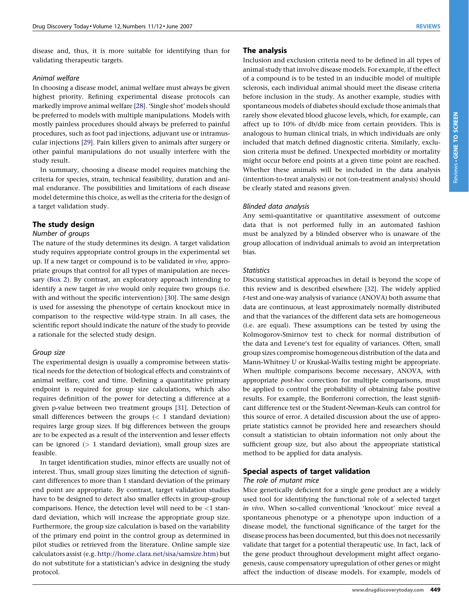disease and, thus, it is more suitable for identifying than for validating therapeutic targets.

# Animal welfare

In choosing a disease model, animal welfare must always be given highest priority. Refining experimental disease protocols can markedly improve animal welfare [\[28\]](#page-5-0). 'Single shot' models should be preferred to models with multiple manipulations. Models with mostly painless procedures should always be preferred to painful procedures, such as foot pad injections, adjuvant use or intramuscular injections [\[29\]](#page-5-0). Pain killers given to animals after surgery or other painful manipulations do not usually interfere with the study result.

In summary, choosing a disease model requires matching the criteria for species, strain, technical feasibility, duration and animal endurance. The possibilities and limitations of each disease model determine this choice, as well as the criteria for the design of a target validation study.

# The study design

# Number of groups

The nature of the study determines its design. A target validation study requires appropriate control groups in the experimental set up. If a new target or compound is to be validated in vivo, appropriate groups that control for all types of manipulation are necessary ([Box 2\)](#page-1-0). By contrast, an exploratory approach intending to identify a new target in vivo would only require two groups (i.e. with and without the specific intervention) [\[30\].](#page-5-0) The same design is used for assessing the phenotype of certain knockout mice in comparison to the respective wild-type strain. In all cases, the scientific report should indicate the nature of the study to provide a rationale for the selected study design.

# Group size

The experimental design is usually a compromise between statistical needs for the detection of biological effects and constraints of animal welfare, cost and time. Defining a quantitative primary endpoint is required for group size calculations, which also requires definition of the power for detecting a difference at a given p-value between two treatment groups [\[31\]](#page-5-0). Detection of small differences between the groups  $\langle \langle 1 \rangle$  standard deviation) requires large group sizes. If big differences between the groups are to be expected as a result of the intervention and lesser effects can be ignored  $(> 1$  standard deviation), small group sizes are feasible.

In target identification studies, minor effects are usually not of interest. Thus, small group sizes limiting the detection of significant differences to more than 1 standard deviation of the primary end point are appropriate. By contrast, target validation studies have to be designed to detect also smaller effects in group–group comparisons. Hence, the detection level will need to be  $<$ 1 standard deviation, which will increase the appropriate group size. Furthermore, the group size calculation is based on the variability of the primary end point in the control group as determined in pilot studies or retrieved from the literature. Online sample size calculators assist (e.g. <http://home.clara.net/sisa/samsize.htm>) but do not substitute for a statistician's advice in designing the study protocol.

Inclusion and exclusion criteria need to be defined in all types of animal study that involve disease models. For example, if the effect of a compound is to be tested in an inducible model of multiple sclerosis, each individual animal should meet the disease criteria before inclusion in the study. As another example, studies with spontaneous models of diabetes should exclude those animals that rarely show elevated blood glucose levels, which, for example, can affect up to 10% of db/db mice from certain providers. This is analogous to human clinical trials, in which individuals are only included that match defined diagnostic criteria. Similarly, exclusion criteria must be defined. Unexpected morbidity or mortality might occur before end points at a given time point are reached. Whether these animals will be included in the data analysis (intention-to-treat analysis) or not (on-treatment analysis) should be clearly stated and reasons given.

# Blinded data analysis

Any semi-quantitative or quantitative assessment of outcome data that is not performed fully in an automated fashion must be analyzed by a blinded observer who is unaware of the group allocation of individual animals to avoid an interpretation bias.

# **Statistics**

Discussing statistical approaches in detail is beyond the scope of this review and is described elsewhere [\[32\].](#page-5-0) The widely applied t-test and one-way analysis of variance (ANOVA) both assume that data are continuous, at least approximately normally distributed and that the variances of the different data sets are homogeneous (i.e. are equal). These assumptions can be tested by using the Kolmogorov-Smirnov test to check for normal distribution of the data and Levene's test for equality of variances. Often, small group sizes compromise homogeneous distribution of the data and Mann-Whitney U or Kruskal-Wallis testing might be appropriate. When multiple comparisons become necessary, ANOVA, with appropriate post-hoc correction for multiple comparisons, must be applied to control the probability of obtaining false positive results. For example, the Bonferroni correction, the least significant difference test or the Student-Newman-Keuls can control for this source of error. A detailed discussion about the use of appropriate statistics cannot be provided here and researchers should consult a statistician to obtain information not only about the sufficient group size, but also about the appropriate statistical method to be applied for data analysis.

# Special aspects of target validation

# The role of mutant mice

Mice genetically deficient for a single gene product are a widely used tool for identifying the functional role of a selected target in vivo. When so-called conventional 'knockout' mice reveal a spontaneous phenotype or a phenotype upon induction of a disease model, the functional significance of the target for the disease process has been documented, but this does not necessarily validate that target for a potential therapeutic use. In fact, lack of the gene product throughout development might affect organogenesis, cause compensatory upregulation of other genes or might affect the induction of disease models. For example, models of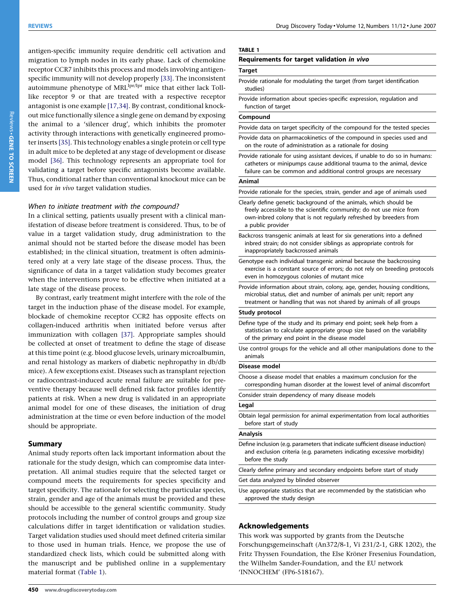antigen-specific immunity require dendritic cell activation and migration to lymph nodes in its early phase. Lack of chemokine receptor CCR7 inhibits this process and models involving antigenspecific immunity will not develop properly [\[33\]](#page-5-0). The inconsistent autoimmune phenotype of MRL<sup>lpr/lpr</sup> mice that either lack Tolllike receptor 9 or that are treated with a respective receptor antagonist is one example [\[17,34\].](#page-5-0) By contrast, conditional knockout mice functionally silence a single gene on demand by exposing the animal to a 'silencer drug', which inhibits the promoter activity through interactions with genetically engineered promoter inserts [\[35\].](#page-5-0) This technology enables a single protein or cell type in adult mice to be depleted at any stage of development or disease model [\[36\]](#page-5-0). This technology represents an appropriate tool for validating a target before specific antagonists become available. Thus, conditional rather than conventional knockout mice can be used for in vivo target validation studies.

# When to initiate treatment with the compound?

In a clinical setting, patients usually present with a clinical manifestation of disease before treatment is considered. Thus, to be of value in a target validation study, drug administration to the animal should not be started before the disease model has been established; in the clinical situation, treatment is often administered only at a very late stage of the disease process. Thus, the significance of data in a target validation study becomes greater when the interventions prove to be effective when initiated at a late stage of the disease process.

By contrast, early treatment might interfere with the role of the target in the induction phase of the disease model. For example, blockade of chemokine receptor CCR2 has opposite effects on collagen-induced arthritis when initiated before versus after immunization with collagen [\[37\].](#page-5-0) Appropriate samples should be collected at onset of treatment to define the stage of disease at this time point (e.g. blood glucose levels, urinary microalbumin, and renal histology as markers of diabetic nephropathy in db/db mice). A few exceptions exist. Diseases such as transplant rejection or radiocontrast-induced acute renal failure are suitable for preventive therapy because well defined risk factor profiles identify patients at risk. When a new drug is validated in an appropriate animal model for one of these diseases, the initiation of drug administration at the time or even before induction of the model should be appropriate.

# Summary

Animal study reports often lack important information about the rationale for the study design, which can compromise data interpretation. All animal studies require that the selected target or compound meets the requirements for species specificity and target specificity. The rationale for selecting the particular species, strain, gender and age of the animals must be provided and these should be accessible to the general scientific community. Study protocols including the number of control groups and group size calculations differ in target identification or validation studies. Target validation studies used should meet defined criteria similar to those used in human trials. Hence, we propose the use of standardized check lists, which could be submitted along with the manuscript and be published online in a supplementary material format (Table 1).

# TABLE 1

# Requirements for target validation in vivo

# Target

Provide rationale for modulating the target (from target identification studies)

Provide information about species-specific expression, regulation and function of target

#### Compound

Provide data on target specificity of the compound for the tested species

Provide data on pharmacokinetics of the compound in species used and on the route of administration as a rationale for dosing

Provide rationale for using assistant devices, if unable to do so in humans: catheters or minipumps cause additional trauma to the animal, device failure can be common and additional control groups are necessary

#### Animal

- Clearly define genetic background of the animals, which should be freely accessible to the scientific community; do not use mice from own-inbred colony that is not regularly refreshed by breeders from a public provider
- Backcross transgenic animals at least for six generations into a defined inbred strain; do not consider siblings as appropriate controls for inappropriately backcrossed animals
- Genotype each individual transgenic animal because the backcrossing exercise is a constant source of errors; do not rely on breeding protocols even in homozygous colonies of mutant mice
- Provide information about strain, colony, age, gender, housing conditions, microbial status, diet and number of animals per unit; report any treatment or handling that was not shared by animals of all groups

#### Study protocol

- Define type of the study and its primary end point; seek help from a statistician to calculate appropriate group size based on the variability of the primary end point in the disease model
- Use control groups for the vehicle and all other manipulations done to the animals

#### Disease model

Choose a disease model that enables a maximum conclusion for the corresponding human disorder at the lowest level of animal discomfort

Consider strain dependency of many disease models

# Legal

Obtain legal permission for animal experimentation from local authorities before start of study

### Analysis

Define inclusion (e.g. parameters that indicate sufficient disease induction) and exclusion criteria (e.g. parameters indicating excessive morbidity) before the study

Clearly define primary and secondary endpoints before start of study

Get data analyzed by blinded observer

Use appropriate statistics that are recommended by the statistician who approved the study design

# Acknowledgements

This work was supported by grants from the Deutsche Forschungsgemeinschaft (An372/8-1, Vi 231/2-1, GRK 1202), the Fritz Thyssen Foundation, the Else Kröner Fresenius Foundation, the Wilhelm Sander-Foundation, and the EU network 'INNOCHEM' (FP6-518167).